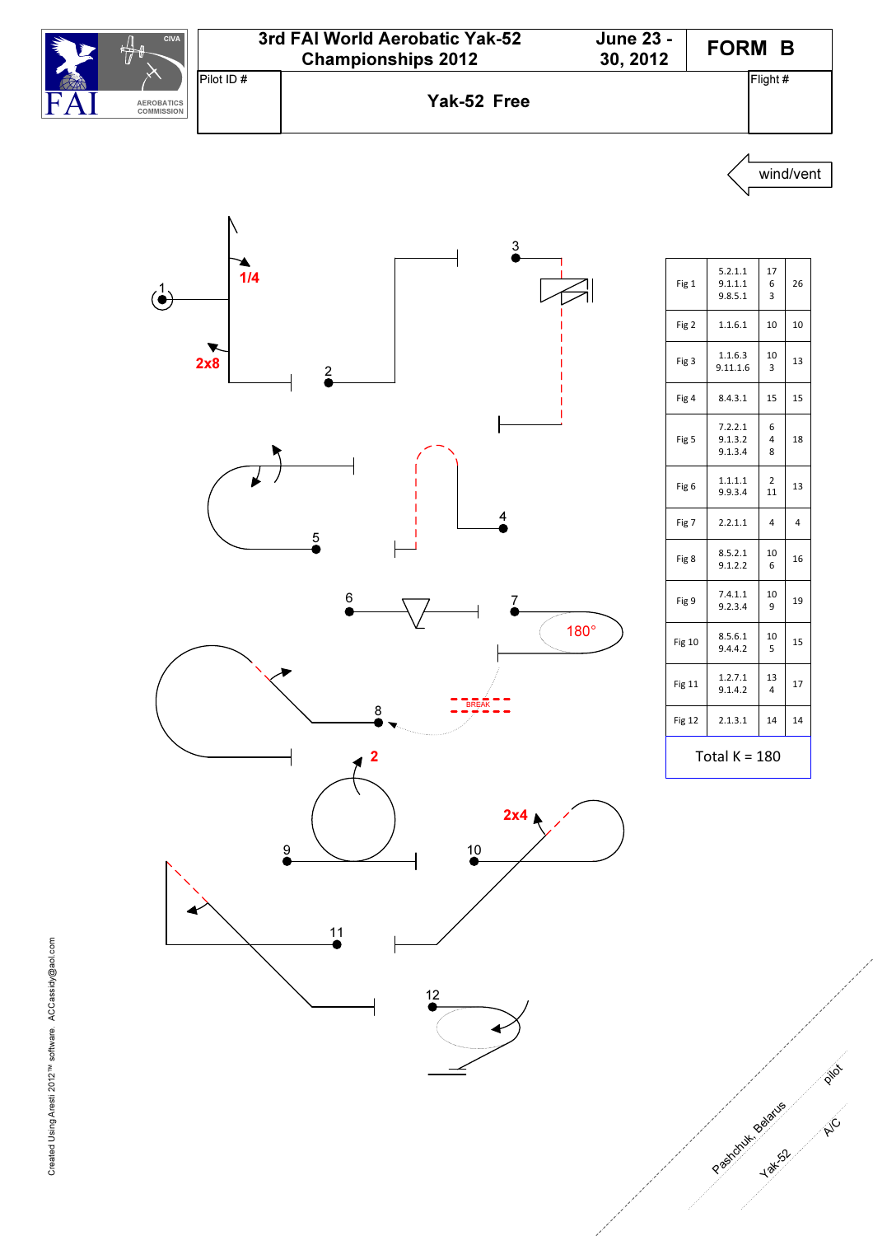





| Fig 1            | 5.2.1.1<br>9.1.1.1<br>9.8.5.1 | 17<br>6<br>3             | 26             |
|------------------|-------------------------------|--------------------------|----------------|
| Fig 2            | 1.1.6.1                       | 10                       | 10             |
| Fig 3            | 1.1.6.3<br>9.11.1.6           | 10<br>3                  | 13             |
| Fig 4            | 8.4.3.1                       | 15                       | 15             |
| Fig <sub>5</sub> | 7.2.2.1<br>9.1.3.2<br>9.1.3.4 | 6<br>$\overline{4}$<br>8 | 18             |
| Fig 6            | 1.1.1.1<br>9.9.3.4            | $\overline{2}$<br>11     | 13             |
| Fig 7            | 2.2.1.1                       | $\overline{4}$           | $\overline{4}$ |
| Fig 8            | 8.5.2.1<br>9.1.2.2            | 10<br>6                  | 16             |
| Fig 9            | 7.4.1.1<br>9.2.3.4            | 10<br>9                  | 19             |
| <b>Fig 10</b>    | 8.5.6.1<br>9.4.4.2            | 10<br>5                  | 15             |
| <b>Fig 11</b>    | 1.2.7.1<br>9.1.4.2            | 13<br>$\overline{4}$     | 17             |
| Fig 12           | 2.1.3.1                       | 14                       | 14             |
| Total K = 180    |                               |                          |                |

p in

A/C

Pastonuk Belatue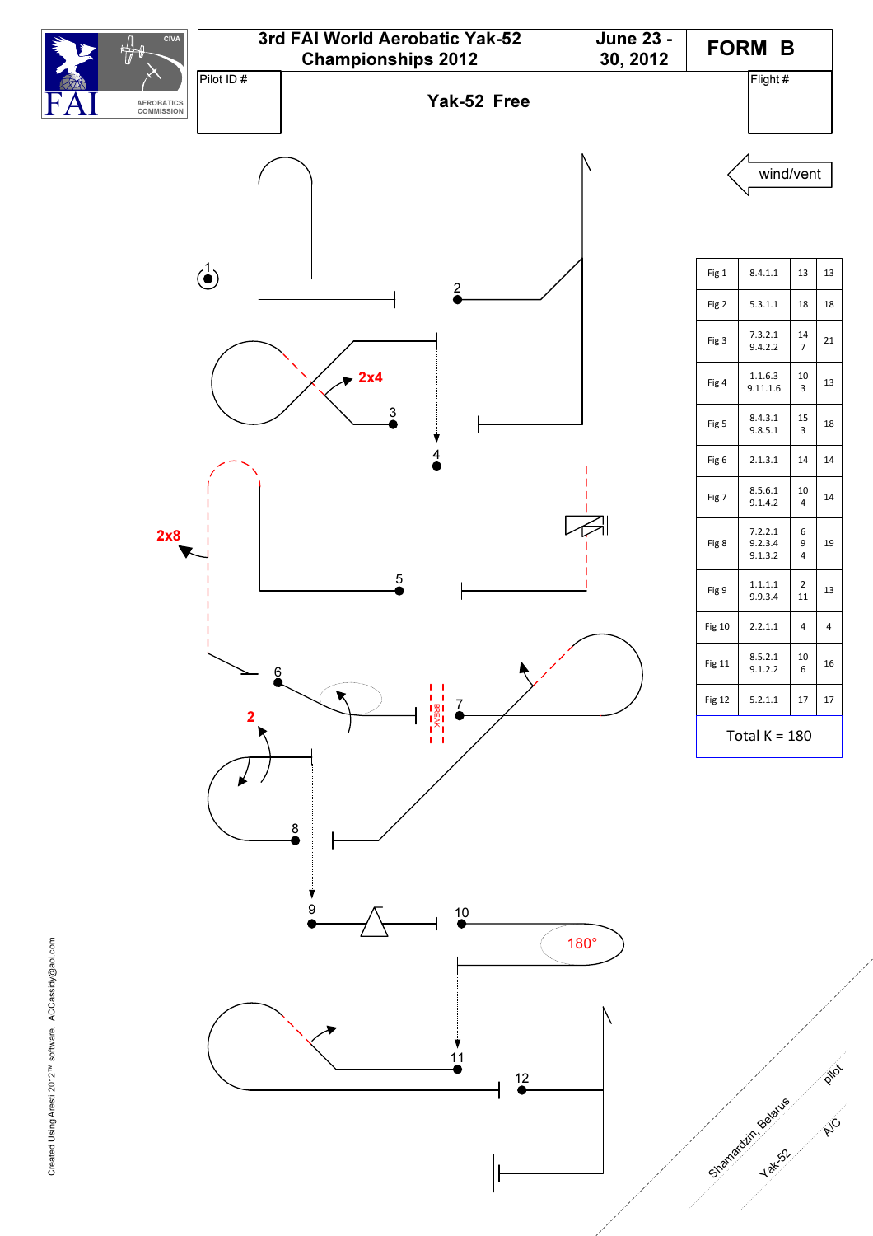

Created Using Aresti 2012<sup>TM</sup> software. ACCassidy@aol.com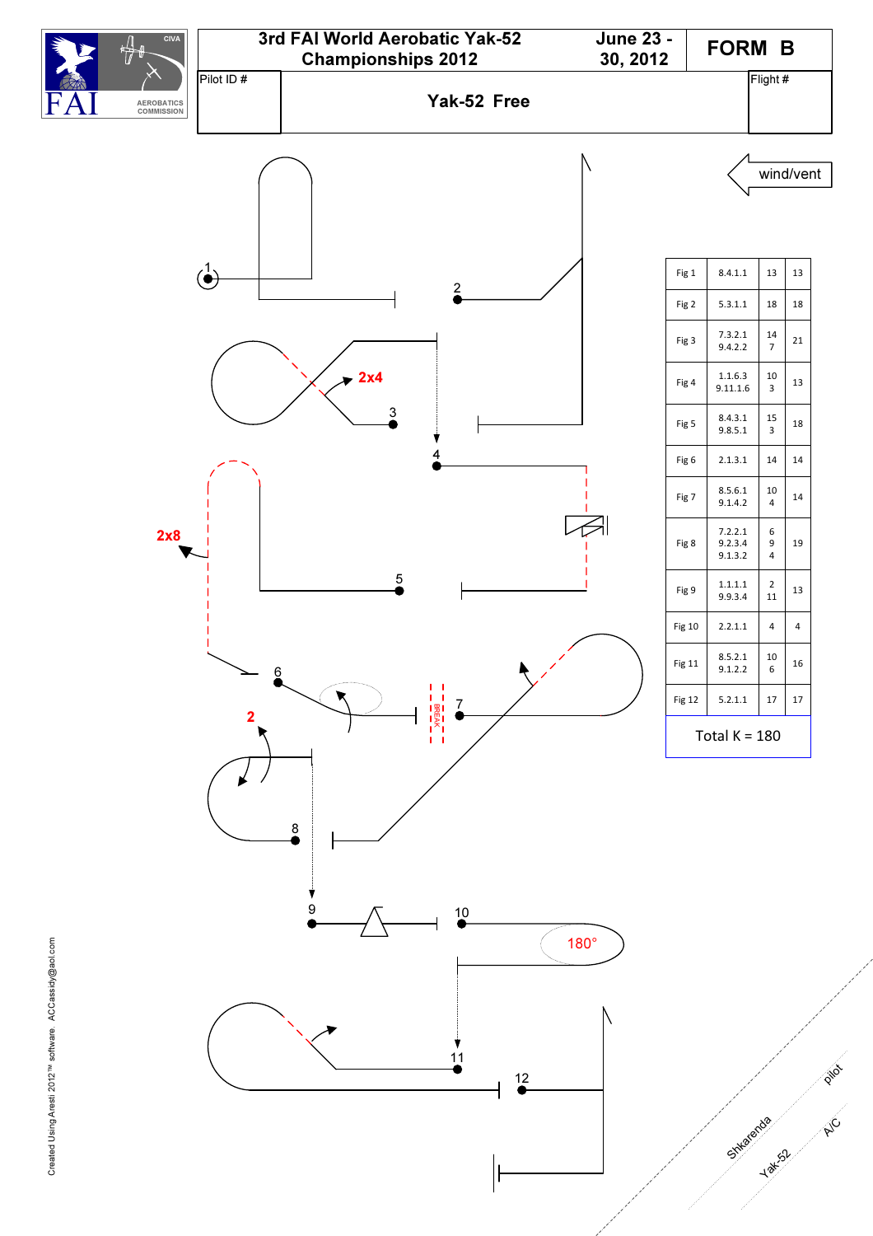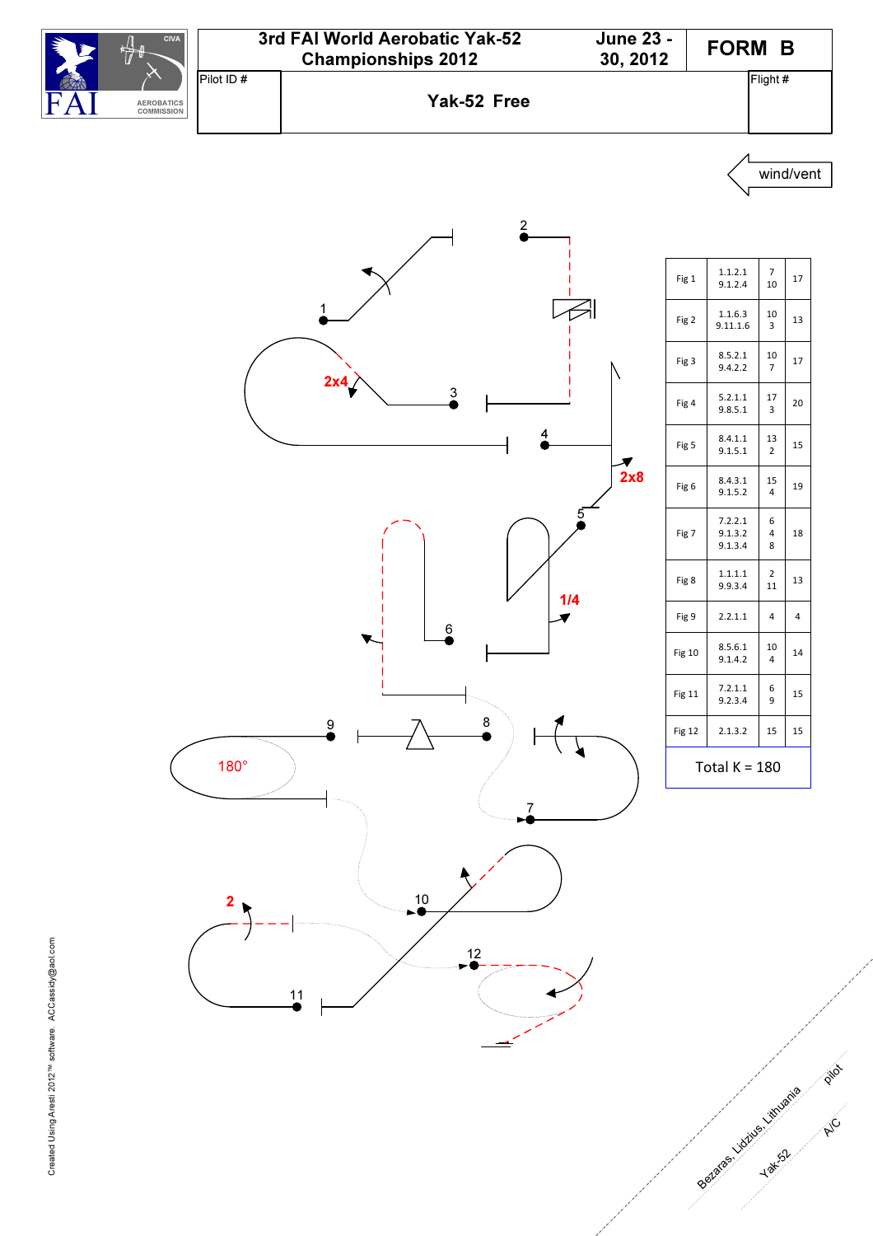



7  $\begin{array}{c|c} 7 \\ 10 \end{array}$  17

10 3 13

10 7 17

17  $\overline{3}$ 20

13 2 15

15 4 19

6 4 8 18

2  $\begin{array}{c|c} 2 & 13 \\ 11 & \end{array}$ 

10 4 14

6 9 15

p i/ot

**PHC** 

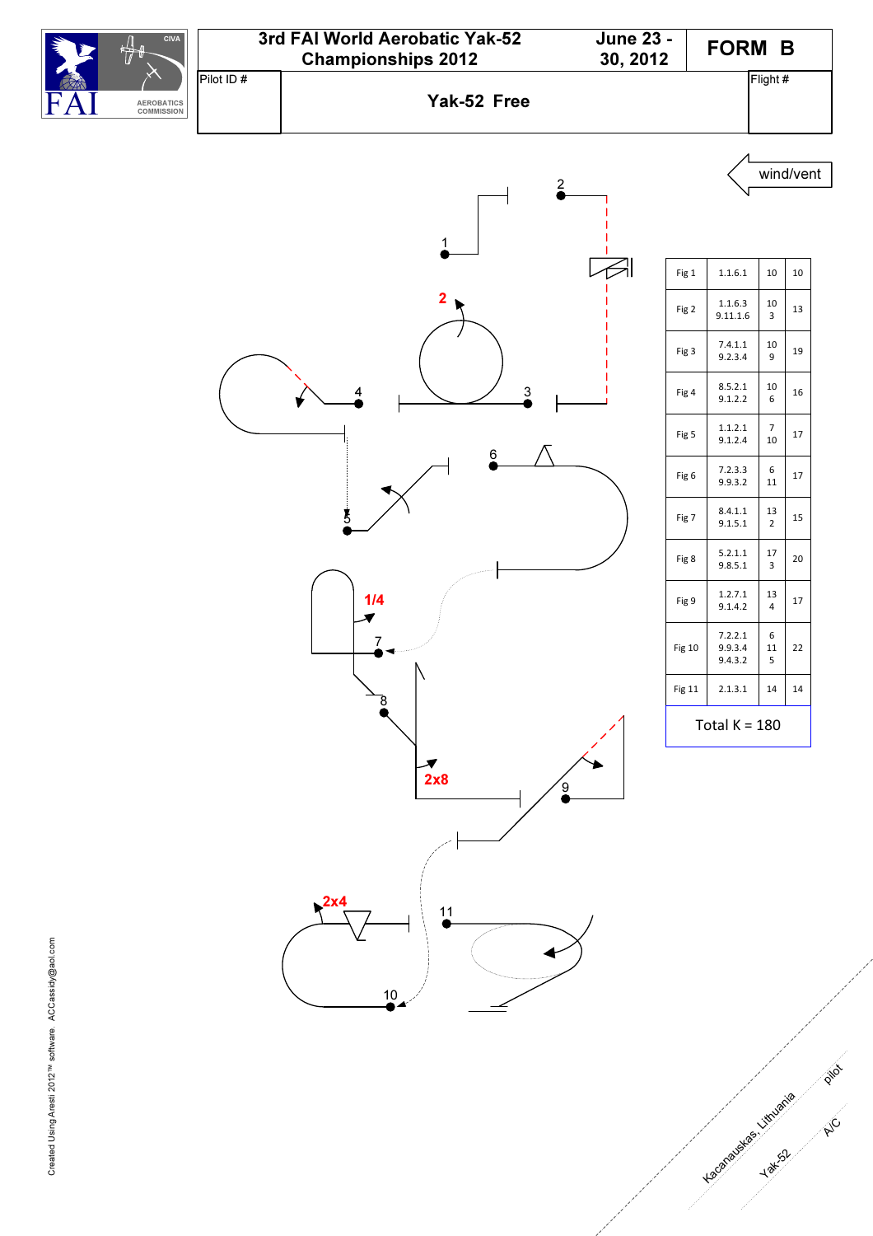![](_page_4_Figure_0.jpeg)

![](_page_4_Figure_1.jpeg)

| Fig 1            | 1.1.6.1                       | 10                   | 10 |
|------------------|-------------------------------|----------------------|----|
| Fig 2            | 1.1.6.3<br>9.11.1.6           | 10<br>3              | 13 |
| Fig 3            | 7.4.1.1<br>9.2.3.4            | 10<br>9              | 19 |
| Fig 4            | 8.5.2.1<br>9.1.2.2            | 10<br>6              | 16 |
| Fig <sub>5</sub> | 1.1.2.1<br>9.1.2.4            | 7<br>10              | 17 |
| Fig 6            | 7.2.3.3<br>9.9.3.2            | 6<br>11              | 17 |
| Fig 7            | 8.4.1.1<br>9.1.5.1            | 13<br>$\overline{2}$ | 15 |
| Fig 8            | 5.2.1.1<br>9.8.5.1            | 17<br>3              | 20 |
| Fig 9            | 1.2.7.1<br>9.1.4.2            | 13<br>$\overline{4}$ | 17 |
| <b>Fig 10</b>    | 7.2.2.1<br>9.9.3.4<br>9.4.3.2 | 6<br>11<br>5         | 22 |
| Fig 11           | 2.1.3.1                       | 14                   | 14 |
| Total $K = 180$  |                               |                      |    |

p in

A/C

Lacanabas - Litruania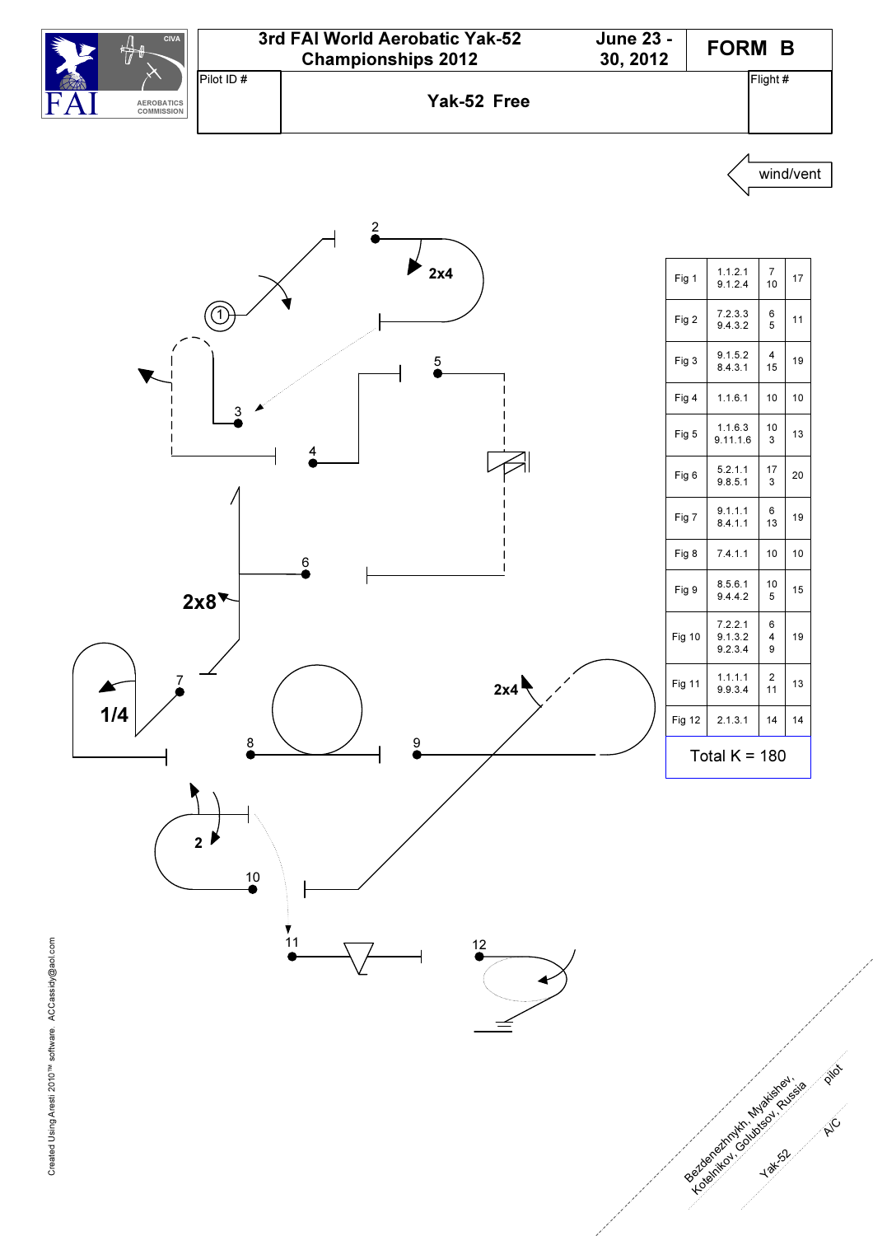![](_page_5_Figure_0.jpeg)

![](_page_5_Figure_2.jpeg)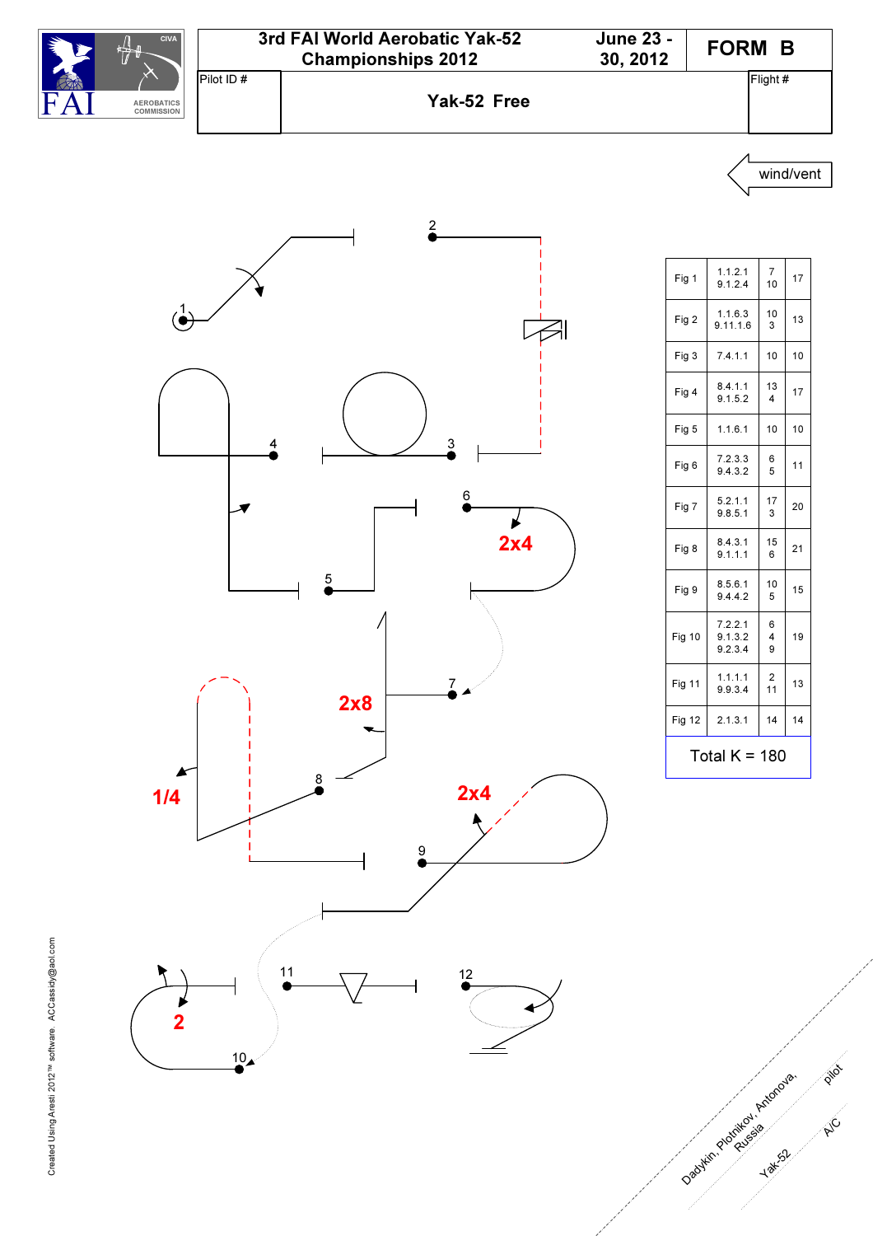![](_page_6_Figure_0.jpeg)

![](_page_6_Figure_1.jpeg)

| Fig 1           | 1.1.2.1<br>9.1.2.4            | $\overline{7}$<br>10 | 17 |
|-----------------|-------------------------------|----------------------|----|
| Fig 2           | 1.1.6.3<br>9.11.1.6           | 10<br>3              | 13 |
| Fig 3           | 7.4.1.1                       | 10                   | 10 |
| Fig 4           | 8.4.1.1<br>9.1.5.2            | 13<br>4              | 17 |
| Fig 5           | 1.1.6.1                       | 10                   | 10 |
| Fig 6           | 7.2.3.3<br>9.4.3.2            | 6<br>5               | 11 |
| Fig 7           | 5.2.1.1<br>9.8.5.1            | 17<br>3              | 20 |
| Fig 8           | 8.4.3.1<br>9.1.1.1            | 15<br>6              | 21 |
| Fig 9           | 8.5.6.1<br>9.4.4.2            | 10<br>5              | 15 |
| <b>Fig 10</b>   | 7.2.2.1<br>9.1.3.2<br>9.2.3.4 | 6<br>4<br>9          | 19 |
| Fig 11          | 1.1.1.1<br>9.9.3.4            | $\overline{2}$<br>11 | 13 |
| <b>Fig 12</b>   | 2.1.3.1                       | 14                   | 14 |
| Total $K = 180$ |                               |                      |    |

p in

A/C

Dadykin Plotflied, Anton ova, Ru<sup>be</sup>sia

Yak<sub>52</sub>

 $10<sub>4</sub>$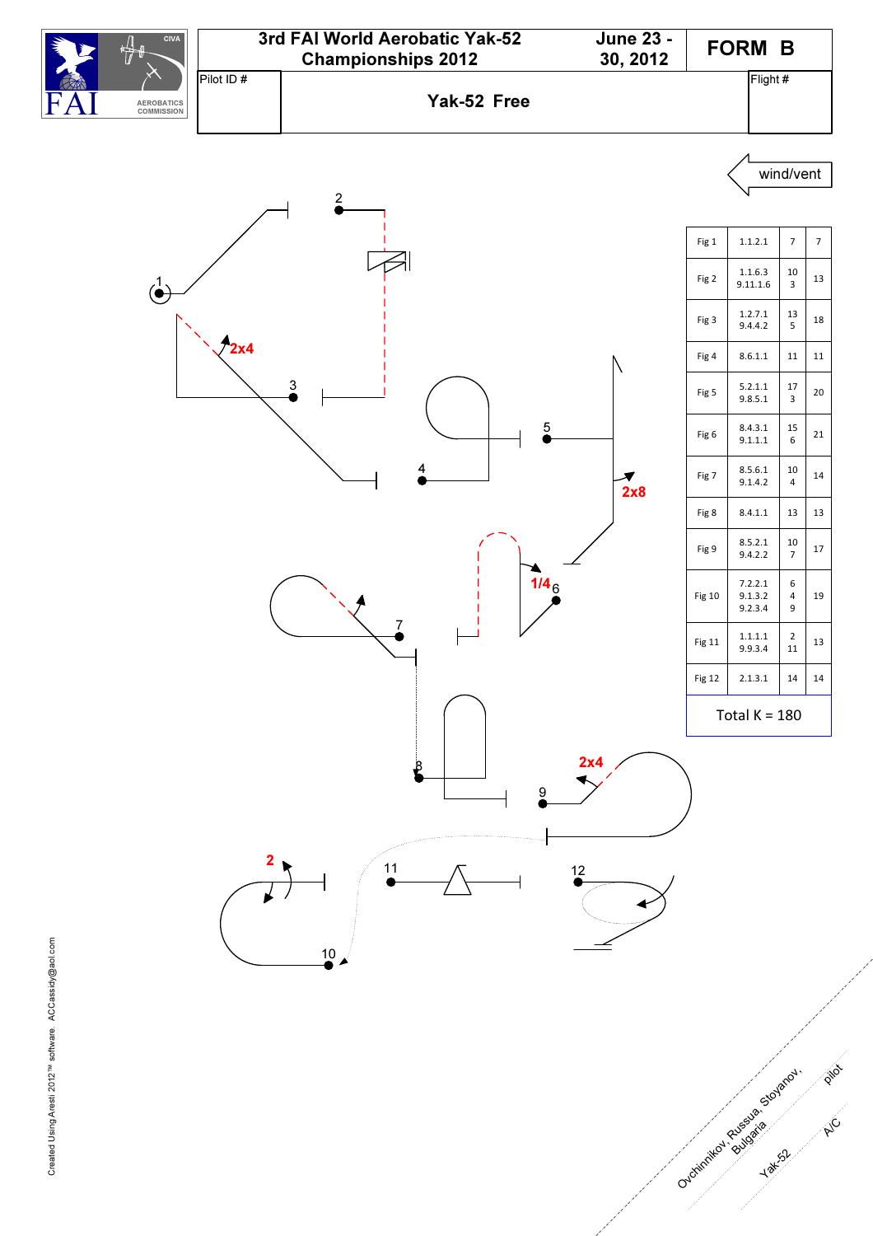![](_page_7_Figure_0.jpeg)

![](_page_7_Figure_1.jpeg)

zus zila

Yak<sub>52</sub>

A/C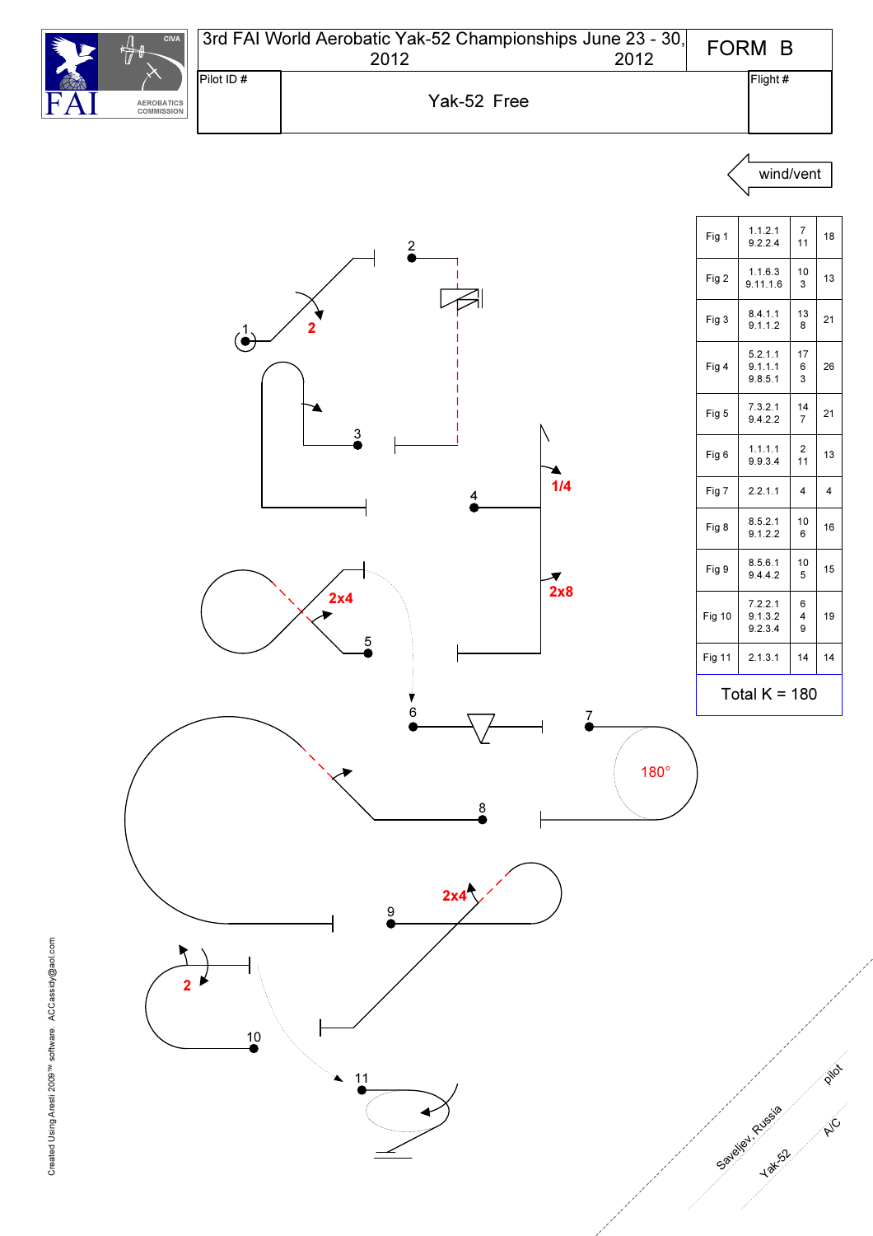![](_page_8_Figure_0.jpeg)

![](_page_8_Figure_1.jpeg)

![](_page_8_Figure_2.jpeg)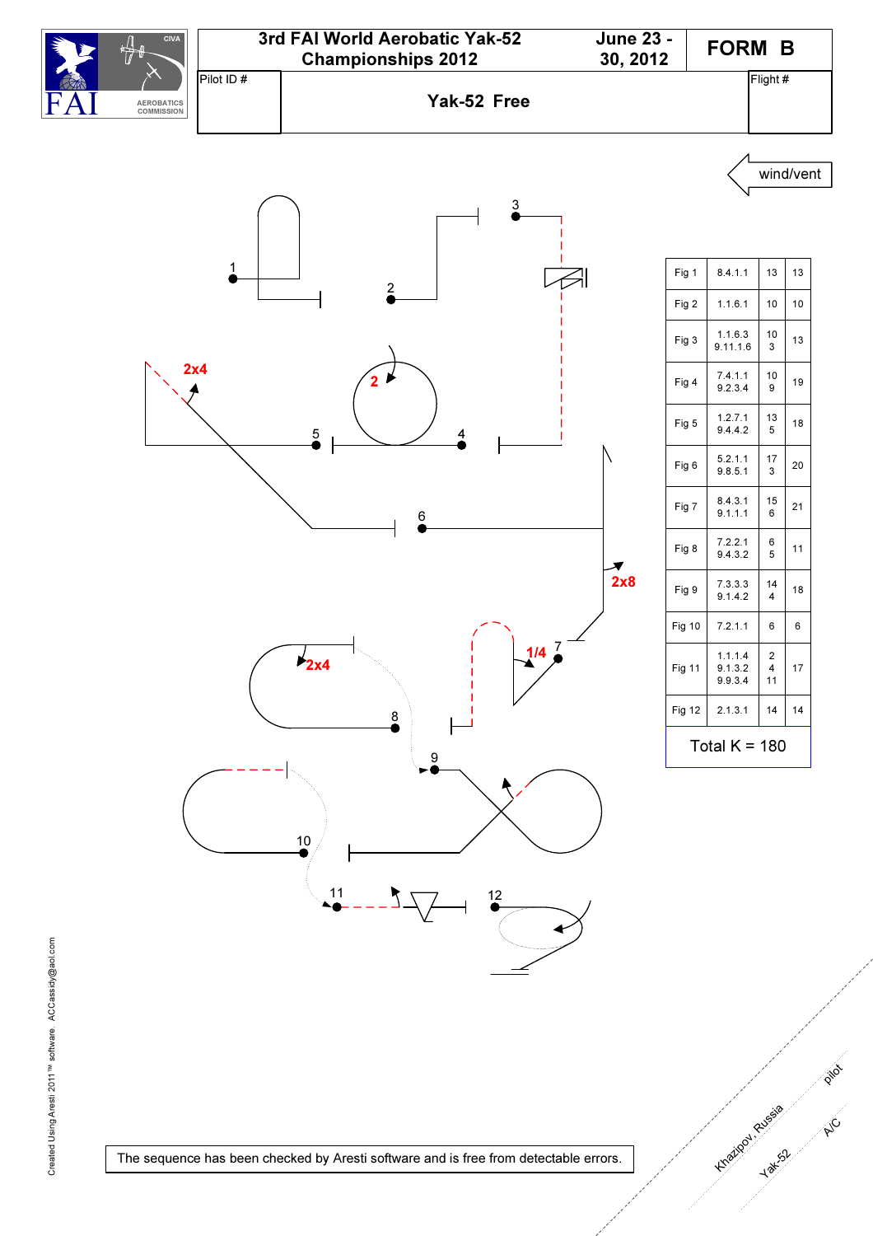![](_page_9_Figure_0.jpeg)

![](_page_9_Figure_1.jpeg)

| Fig 1           | 8.4.1.1                       | 13                                     | 13 |
|-----------------|-------------------------------|----------------------------------------|----|
| Fig 2           | 1.1.6.1                       | 10                                     | 10 |
| Fig 3           | 1.1.6.3<br>9.11.1.6           | 10<br>3                                | 13 |
| Fig 4           | 7.4.1.1<br>9.2.3.4            | 10<br>9                                | 19 |
| Fig 5           | 1.2.7.1<br>9.4.4.2            | 13<br>5                                | 18 |
| Fig 6           | 5.2.1.1<br>9.8.5.1            | 17<br>3                                | 20 |
| Fig 7           | 8.4.3.1<br>9.1.1.1            | 15<br>6                                | 21 |
| Fig 8           | 7.2.2.1<br>9.4.3.2            | 6<br>5                                 | 11 |
| Fig 9           | 7.3.3.3<br>9.1.4.2            | 14<br>$\overline{\mathbf{4}}$          | 18 |
| <b>Fig 10</b>   | 7.2.1.1                       | 6                                      | 6  |
| <b>Fig 11</b>   | 1.1.1.4<br>9.1.3.2<br>9.9.3.4 | $\overline{2}$<br>$\overline{4}$<br>11 | 17 |
| <b>Fig 12</b>   | 2.1.3.1                       | 14                                     | 14 |
| Total $K = 180$ |                               |                                        |    |

p in

A/C

Khazivan Russia

Yaks2

Created Using Aresti 2011<sup>TM</sup> software. ACCassidy@aol.com Created Using Aresti 2011™ software. ACCassidy@aol.com

The sequence has been checked by Aresti software and is free from detectable errors.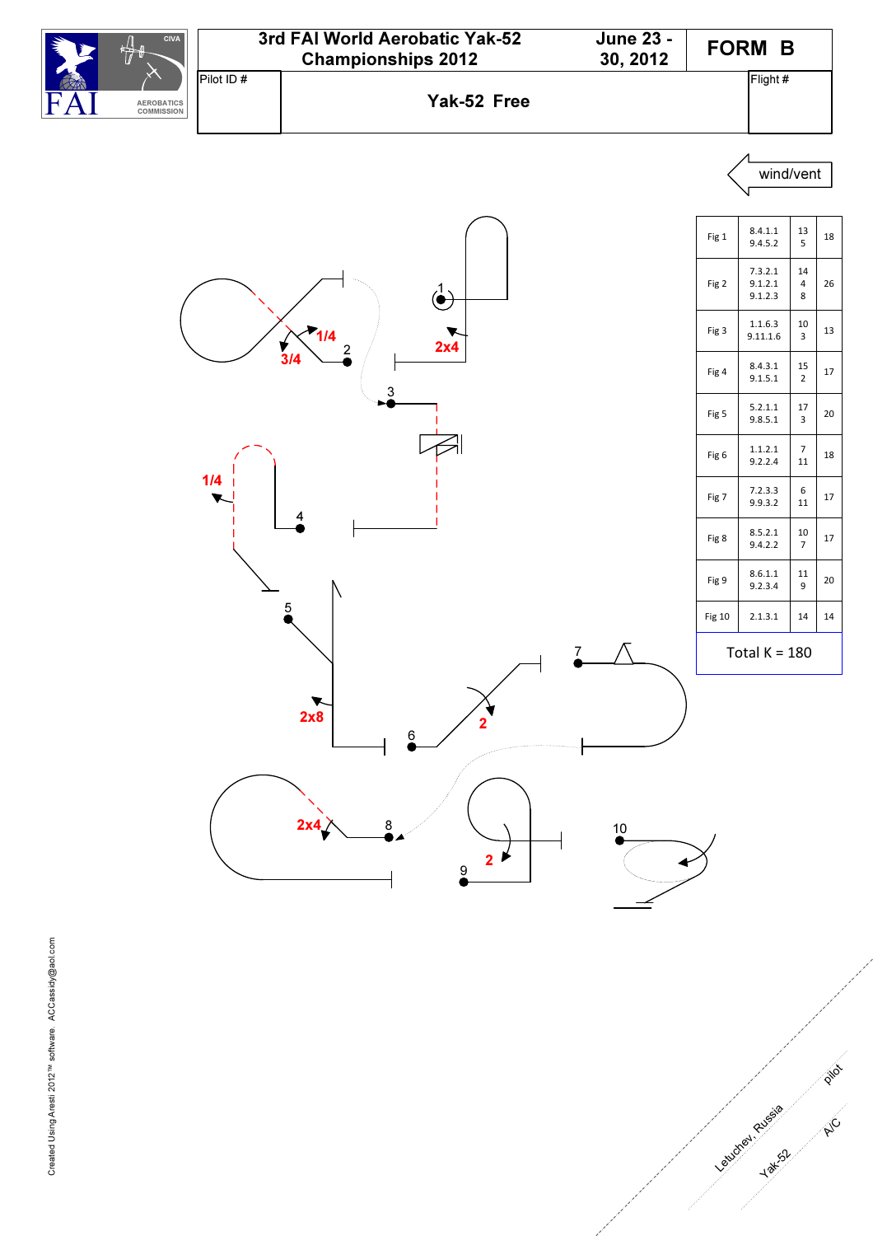![](_page_10_Figure_0.jpeg)

![](_page_10_Figure_1.jpeg)

p in

**A/C** 

Letusted Russie

![](_page_10_Figure_2.jpeg)

![](_page_10_Figure_3.jpeg)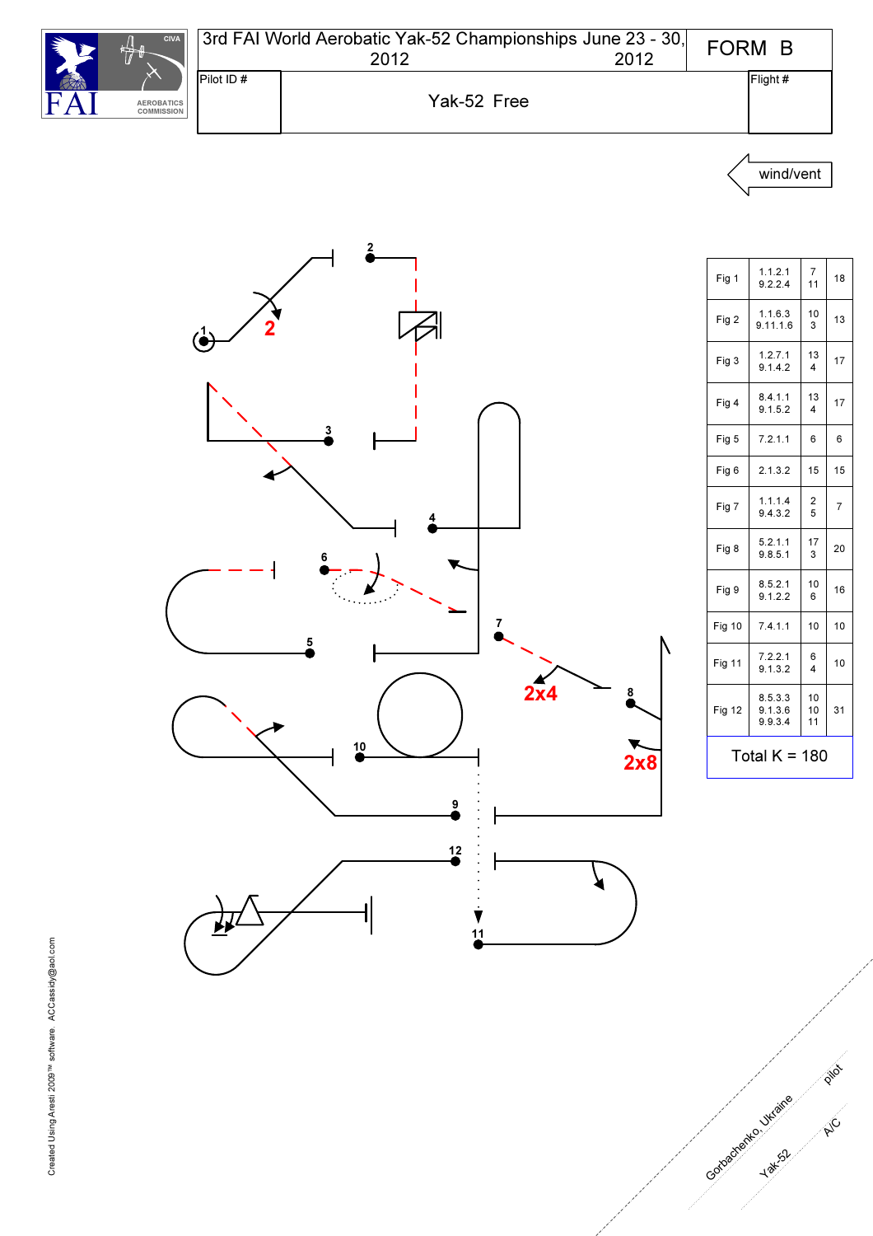![](_page_11_Picture_0.jpeg)

| 3rd FAI World Aerobatic Yak-52 Championships June 23 - 30,<br>2012<br>2012 |             |  | FORM B   |  |
|----------------------------------------------------------------------------|-------------|--|----------|--|
| Pilot ID#                                                                  |             |  | Flight # |  |
|                                                                            | Yak-52 Free |  |          |  |

![](_page_11_Figure_2.jpeg)

![](_page_11_Figure_3.jpeg)

| Fig 1         | 1.1.2.1<br>9.2.2.4            | $\overline{7}$<br>11         | 18             |  |
|---------------|-------------------------------|------------------------------|----------------|--|
| Fig 2         | 1.1.6.3<br>9.11.1.6           | 10<br>3                      | 13             |  |
| Fig 3         | 1.2.7.1<br>9.1.4.2            | 13<br>4                      | 17             |  |
| Fig 4         | 8.4.1.1<br>9.1.5.2            | 13<br>4                      | 17             |  |
| Fig 5         | 7.2.1.1                       | 6                            | 6              |  |
| Fig 6         | 2.1.3.2                       | 15                           | 15             |  |
| Fig 7         | 1.1.1.4<br>9.4.3.2            | 2<br>5                       | $\overline{7}$ |  |
| Fig 8         | 5.2.1.1<br>9.8.5.1            | 17<br>3                      | 20             |  |
| Fig 9         | 8.5.2.1<br>9.1.2.2            | 10<br>6                      | 16             |  |
| <b>Fig 10</b> | 7.4.1.1                       | 10                           | 10             |  |
| <b>Fig 11</b> | 7.2.2.1<br>9.1.3.2            | 6<br>$\overline{\mathbf{4}}$ | 10             |  |
| <b>Fig 12</b> | 8.5.3.3<br>9.1.3.6<br>9.9.3.4 | 10<br>10<br>11               | 31             |  |
|               | Total $K = 180$               |                              |                |  |

P i/o

A/C

Gotoache Hak-St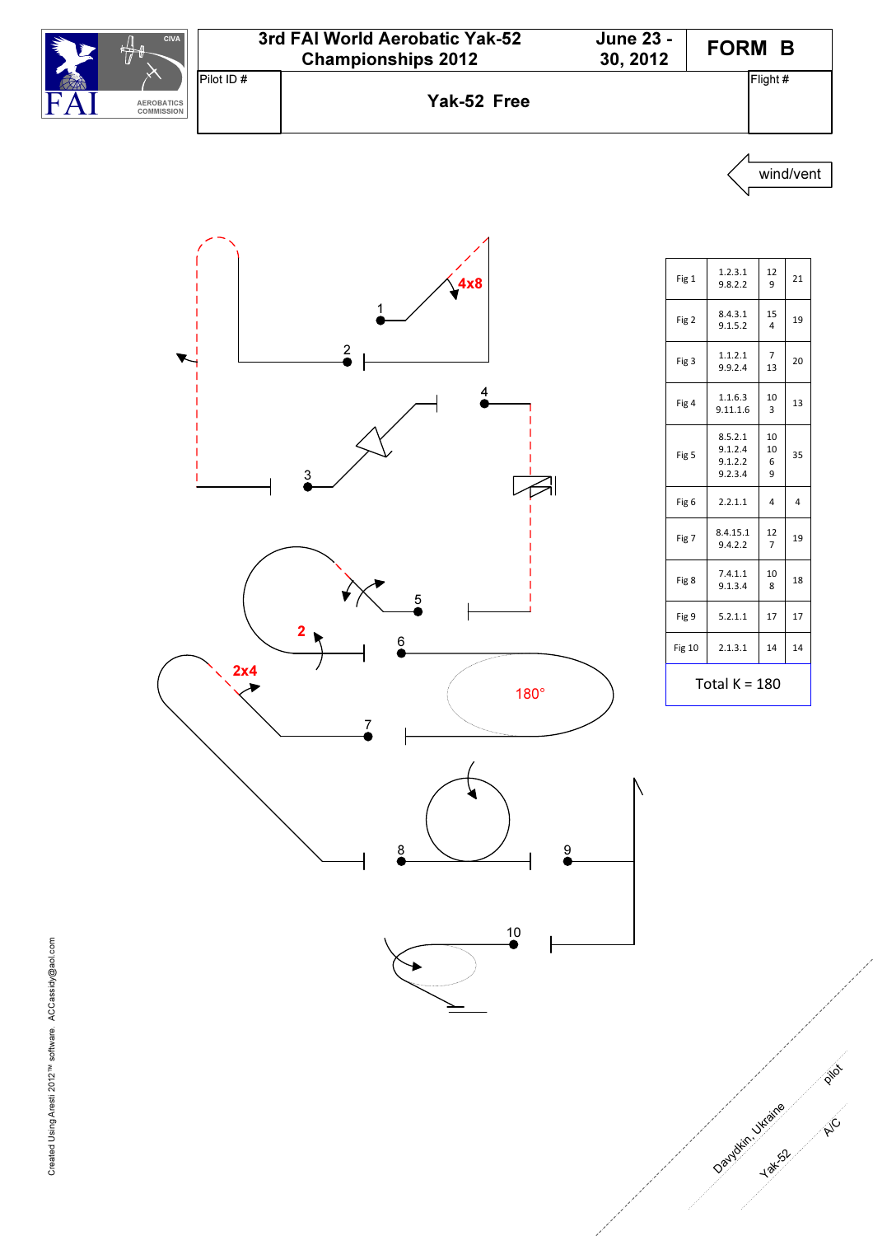![](_page_12_Figure_0.jpeg)

![](_page_12_Figure_2.jpeg)

| Fig 1            | 1.2.3.1<br>9.8.2.2                       | 12<br>9              | 21 |
|------------------|------------------------------------------|----------------------|----|
| Fig 2            | 8.4.3.1<br>9.1.5.2                       | 15<br>$\overline{4}$ | 19 |
| Fig 3            | 1.1.2.1<br>9.9.2.4                       | $\overline{7}$<br>13 | 20 |
| Fig 4            | 1.1.6.3<br>9.11.1.6                      | 10<br>3              | 13 |
| Fig <sub>5</sub> | 8.5.2.1<br>9.1.2.4<br>9.1.2.2<br>9.2.3.4 | 10<br>10<br>6<br>9   | 35 |
| Fig 6            | 2.2.1.1                                  | 4                    | 4  |
| Fig 7            | 8.4.15.1<br>9.4.2.2                      | 12<br>7              | 19 |
| Fig 8            | 7.4.1.1<br>9.1.3.4                       | 10<br>8              | 18 |
| Fig 9            | 5.2.1.1                                  | 17                   | 17 |
| <b>Fig 10</b>    | 2.1.3.1                                  | 14                   | 14 |
| Total K = 180    |                                          |                      |    |

p in

A/C

Davydkin Juzaire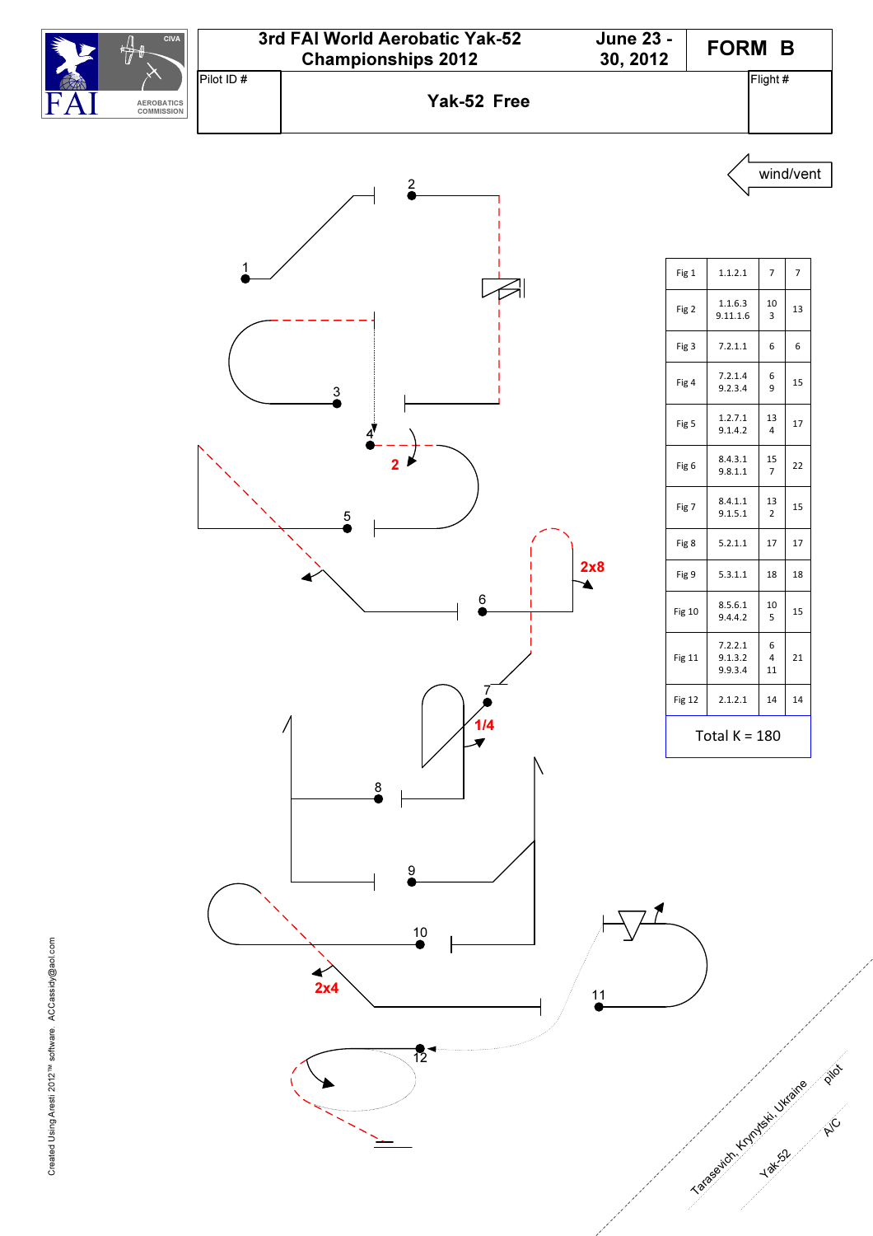![](_page_13_Figure_0.jpeg)

![](_page_13_Figure_1.jpeg)

| Fig 1            | 1.1.2.1                       | $\overline{7}$            | $\overline{7}$ |  |
|------------------|-------------------------------|---------------------------|----------------|--|
| Fig 2            | 1.1.6.3<br>9.11.1.6           | 10<br>3                   | 13             |  |
| Fig 3            | 7.2.1.1                       | 6                         | 6              |  |
| Fig 4            | 7.2.1.4<br>9.2.3.4            | 6<br>9                    | 15             |  |
| Fig <sub>5</sub> | 1.2.7.1<br>9.1.4.2            | 13<br>$\overline{4}$      | 17             |  |
| Fig 6            | 8.4.3.1<br>9.8.1.1            | 15<br>$\overline{7}$      | 22             |  |
| Fig 7            | 8.4.1.1<br>9.1.5.1            | 13<br>2                   | 15             |  |
| Fig 8            | 5.2.1.1                       | 17                        | 17             |  |
| Fig 9            | 5.3.1.1                       | 18                        | 18             |  |
| Fig 10           | 8.5.6.1<br>9.4.4.2            | 10<br>5                   | 15             |  |
| Fig 11           | 7.2.2.1<br>9.1.3.2<br>9.9.3.4 | 6<br>$\overline{4}$<br>11 | 21             |  |
| Fig 12           | 2.1.2.1                       | 14                        | 14             |  |
| Total K = 180    |                               |                           |                |  |

p in

 $\gamma_C$ 

Yakasevich , Krynteski , Ukraine

Yak<sub>52</sub>